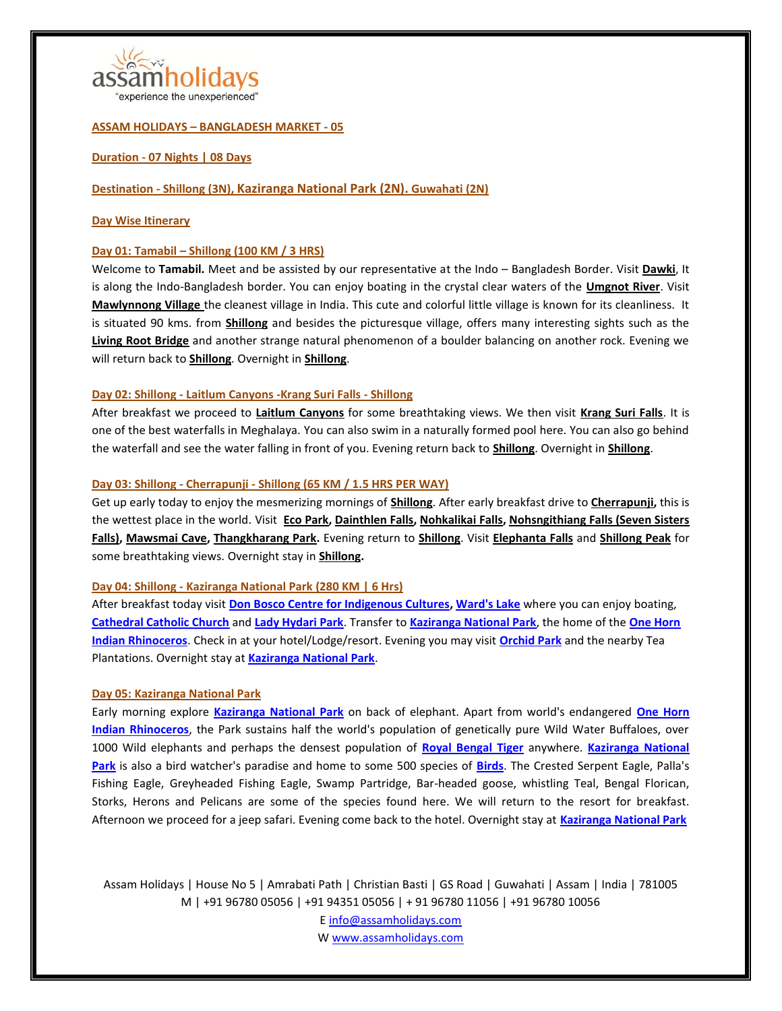

"experience the unexperienced"

## **ASSAM HOLIDAYS – BANGLADESH MARKET - 05**

## **Duration - 07 Nights | 08 Days**

# **Destination - [Shillong](https://en.wikipedia.org/wiki/Shillong) (3N), [Kaziranga National Park](https://en.wikipedia.org/wiki/Kaziranga_National_Park) (2N). [Guwahati](https://en.wikipedia.org/wiki/Guwahati) (2N)**

## **Day Wise Itinerary**

## **Day 01: Tamabil – [Shillong](https://en.wikipedia.org/wiki/Shillong) (100 KM / 3 HRS)**

Welcome to **Tamabil.** Meet and be assisted by our representative at the Indo – Bangladesh Border. Visit **[Dawki](https://en.wikipedia.org/wiki/Dawki)**, It is along the Indo-Bangladesh border. You can enjoy boating in the crystal clear waters of the **[Umgnot River](https://www.tripadvisor.in/ShowUserReviews-g297657-d8817987-r375157644-Dawki_River-Meghalaya.html)**. Visit **[Mawlynnong Village](https://en.wikipedia.org/wiki/Mawlynnong)** the cleanest village in India. This cute and colorful little village is known for its cleanliness. It is situated 90 kms. from **[Shillong](https://en.wikipedia.org/wiki/Shillong)** and besides the picturesque village, offers many interesting sights such as the **[Living Root Bridge](https://www.tripadvisor.in/Attraction_Review-g2435898-d2345071-Reviews-Roots_Bridges-Mawlynnong_East_Khasi_Hills_District_Meghalaya.html)** and another strange natural phenomenon of a boulder balancing on another rock. Evening we will return back to **[Shillong](https://en.wikipedia.org/wiki/Shillong)**. Overnight in **[Shillong](https://en.wikipedia.org/wiki/Shillong)**.

## **Day 02: [Shillong](https://en.wikipedia.org/wiki/Shillong) - [Laitlum Canyons](https://www.tripadvisor.in/Attraction_Review-g503702-d2457490-Reviews-Laitlum_Canyons-Shillong_East_Khasi_Hills_District_Meghalaya.html) [-Krang Suri Falls](https://www.tripadvisor.in/Attraction_Review-g2285397-d2441352-Reviews-Krang_Suri_Falls-Jowai_West_Jaintia_Hills_District_Meghalaya.html) - [Shillong](https://en.wikipedia.org/wiki/Shillong)**

After breakfast we proceed to **[Laitlum Canyons](https://www.tripadvisor.in/Attraction_Review-g503702-d2457490-Reviews-Laitlum_Canyons-Shillong_East_Khasi_Hills_District_Meghalaya.html)** for some breathtaking views. We then visit **[Krang Suri Falls](https://www.tripadvisor.in/Attraction_Review-g2285397-d2441352-Reviews-Krang_Suri_Falls-Jowai_West_Jaintia_Hills_District_Meghalaya.html)**. It is one of the best waterfalls in Meghalaya. You can also swim in a naturally formed pool here. You can also go behind the waterfall and see the water falling in front of you. Evening return back to **[Shillong](https://en.wikipedia.org/wiki/Shillong)**. Overnight in **[Shillong](https://en.wikipedia.org/wiki/Shillong)**.

## **Day 03: [Shillong](https://en.wikipedia.org/wiki/Shillong) - [Cherrapunji](https://en.wikipedia.org/wiki/Cherrapunji) - [Shillong](https://en.wikipedia.org/wiki/Shillong) (65 KM / 1.5 HRS PER WAY)**

Get up early today to enjoy the mesmerizing mornings of **[Shillong](https://en.wikipedia.org/wiki/Shillong)**. After early breakfast drive to **[Cherrapunji,](https://en.wikipedia.org/wiki/Cherrapunji)** this is the wettest place in the world. Visit **[Eco Park,](https://www.tripadvisor.in/Attraction_Review-g668046-d2441153-Reviews-Eco_Park-Cherrapunjee_East_Khasi_Hills_District_Meghalaya.html) [Dainthlen Falls,](https://www.tripadvisor.in/Attraction_Review-g668046-d2441122-Reviews-Dain_Thlen_Falls-Cherrapunjee_East_Khasi_Hills_District_Meghalaya.html) [Nohkalikai Falls,](https://en.wikipedia.org/wiki/Nohkalikai_Falls) [Nohsngithiang Falls \(Seven Sisters](https://en.wikipedia.org/wiki/Nohsngithiang_Falls)  [Falls\),](https://en.wikipedia.org/wiki/Nohsngithiang_Falls) [Mawsmai Cave,](https://www.tripadvisor.in/Attraction_Review-g668046-d2336019-Reviews-Mawsmai_Cave-Cherrapunjee_East_Khasi_Hills_District_Meghalaya.html) [Thangkharang Park.](https://www.tripadvisor.in/Attraction_Review-g668046-d2441156-Reviews-Thangkharang_Park-Cherrapunjee_East_Khasi_Hills_District_Meghalaya.html)** Evening return to **[Shillong](https://en.wikipedia.org/wiki/Shillong)**. Visit **[Elephanta Falls](https://www.tripadvisor.in/Attraction_Review-g503702-d501155-Reviews-Elephant_Falls-Shillong_East_Khasi_Hills_District_Meghalaya.html)** and **[Shillong Peak](https://www.tripadvisor.in/Attraction_Review-g297657-d2343336-Reviews-Shillong_Peak-Meghalaya.html)** for some breathtaking views. Overnight stay in **[Shillong.](https://en.wikipedia.org/wiki/Shillong)**

# **Day 04: [Shillong](https://en.wikipedia.org/wiki/Shillong) - [Kaziranga National Park](https://en.wikipedia.org/wiki/Kaziranga_National_Park) (280 KM | 6 Hrs)**

After breakfast today visit **[Don Bosco Centre for Indigenous Cultures,](https://www.tripadvisor.in/Attraction_Review-g503702-d2426003-Reviews-Don_Bosco_Centre_for_Indigenous_Cultures-Shillong_East_Khasi_Hills_District_Megha.html) [Ward's Lake](https://www.tripadvisor.in/Attraction_Review-g503702-d1209950-Reviews-Ward_s_Lake-Shillong_East_Khasi_Hills_District_Meghalaya.html)** where you can enjoy boating, **[Cathedral Catholic Church](https://www.tripadvisor.in/Attraction_Review-g503702-d2441185-Reviews-Cathedral_of_Mary_Help_of_Christians-Shillong_East_Khasi_Hills_District_Meghalaya.html)** and **[Lady Hydari Park](https://www.tripadvisor.in/Attraction_Review-g503702-d2336023-Reviews-Lady_Hydari_Park-Shillong_East_Khasi_Hills_District_Meghalaya.html)**. Transfer to **[Kaziranga National Park](https://en.wikipedia.org/wiki/Kaziranga_National_Park)**, the home of the **[One Horn](https://en.wikipedia.org/wiki/Indian_rhinoceros)  [Indian Rhinoceros](https://en.wikipedia.org/wiki/Indian_rhinoceros)**. Check in at your hotel/Lodge/resort. Evening you may visit **[Orchid Park](https://www.tripadvisor.in/Attraction_Review-g858488-d10033999-Reviews-Kaziranga_National_Orchid_And_Biodiversity_Park-Kaziranga_National_Park_Nagaon_D.html)** and the nearby Tea Plantations. Overnight stay at **[Kaziranga National Park](https://en.wikipedia.org/wiki/Kaziranga_National_Park)**.

# **Day 05: [Kaziranga National Park](https://en.wikipedia.org/wiki/Kaziranga_National_Park)**

Early morning explore **[Kaziranga National Park](https://en.wikipedia.org/wiki/Kaziranga_National_Park)** on back of elephant. Apart from world's endangered **[One Horn](https://en.wikipedia.org/wiki/Indian_rhinoceros)  [Indian Rhinoceros](https://en.wikipedia.org/wiki/Indian_rhinoceros)**, the Park sustains half the world's population of genetically pure Wild Water Buffaloes, over 1000 Wild elephants and perhaps the densest population of **[Royal Bengal Tiger](https://en.wikipedia.org/wiki/Bengal_tiger)** anywhere. **[Kaziranga National](https://en.wikipedia.org/wiki/Kaziranga_National_Park)  [Park](https://en.wikipedia.org/wiki/Kaziranga_National_Park)** is also a bird watcher's paradise and home to some 500 species of **[Birds](https://en.wikipedia.org/wiki/List_of_birds_of_Kaziranga_National_Park)**. The Crested Serpent Eagle, Palla's Fishing Eagle, Greyheaded Fishing Eagle, Swamp Partridge, Bar-headed goose, whistling Teal, Bengal Florican, Storks, Herons and Pelicans are some of the species found here. We will return to the resort for breakfast. Afternoon we proceed for a jeep safari. Evening come back to the hotel. Overnight stay at **[Kaziranga National Park](https://en.wikipedia.org/wiki/Kaziranga_National_Park)**

Assam Holidays | House No 5 | Amrabati Path | Christian Basti | GS Road | Guwahati | Assam | India | 781005 M | +91 96780 05056 | +91 94351 05056 | + 91 96780 11056 | +91 96780 10056 E info@assamholidays.com W www.assamholidays.com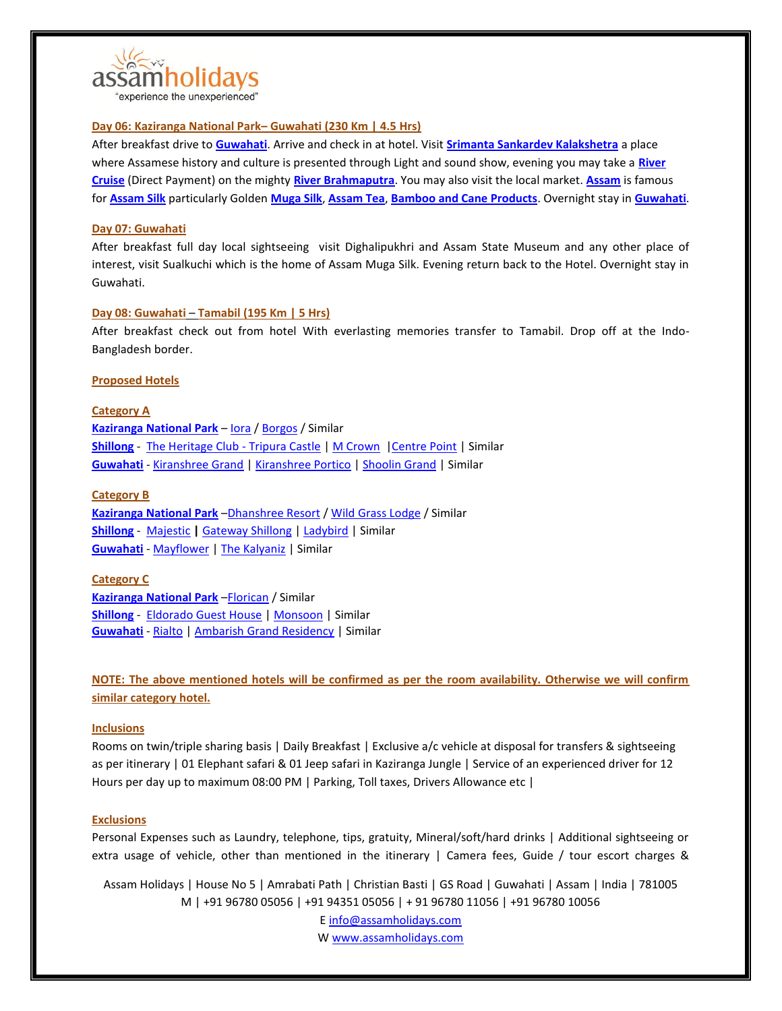

# **Day 06: [Kaziranga National Park](https://en.wikipedia.org/wiki/Kaziranga_National_Park)– [Guwahati](https://en.wikipedia.org/wiki/Guwahati) (230 Km | 4.5 Hrs)**

After breakfast drive to **[Guwahati](https://en.wikipedia.org/wiki/Guwahati)**. Arrive and check in at hotel. Visit **[Srimanta Sankardev Kalakshetra](https://en.wikipedia.org/wiki/Srimanta_Sankardev_Kalakshetra)** a place where Assamese history and culture is presented through Light and sound show, evening you may take a **[River](http://www.alfrescogrand.com/)  [Cruise](http://www.alfrescogrand.com/)** (Direct Payment) on the mighty **[River Brahmaputra](https://en.wikipedia.org/wiki/Brahmaputra_River)**. You may also visit the local market. **[Assam](https://en.wikipedia.org/wiki/Assam)** is famous for **[Assam Silk](https://en.wikipedia.org/wiki/Assam_silk)** particularly Golden **[Muga Silk](https://en.wikipedia.org/wiki/Muga_silk)**, **[Assam Tea](https://en.wikipedia.org/wiki/Assam_tea)**, **[Bamboo and Cane Products](https://www.google.co.in/search?q=assam+cane+and+bamboo+product&source=lnms&tbm=isch&sa=X&ved=0ahUKEwizrqet8ZPcAhWCqY8KHdrtCTk4ChD8BQgKKAE&biw=1536&bih=734)**. Overnight stay in **[Guwahati](https://en.wikipedia.org/wiki/Guwahati)**.

## **Day 07: [Guwahati](https://en.wikipedia.org/wiki/Guwahati)**

After breakfast full day local sightseeing visit Dighalipukhri and Assam State Museum and any other place of interest, visit Sualkuchi which is the home of Assam Muga Silk. Evening return back to the Hotel. Overnight stay in Guwahati.

## **Day 08: [Guwahati](https://en.wikipedia.org/wiki/Guwahati)** – **Tamabil (195 Km | 5 Hrs)**

After breakfast check out from hotel With everlasting memories transfer to Tamabil. Drop off at the Indo-Bangladesh border.

## **Proposed Hotels**

**Category A [Kaziranga National Park](https://en.wikipedia.org/wiki/Kaziranga_National_Park)** – [Iora](http://kazirangasafari.com/) / [Borgos](http://kazirangaborgos.com/) / Similar **[Shillong](https://en.wikipedia.org/wiki/Shillong)** - [The Heritage Club -](http://www.tripuracastle.com/) Tripura Castle [| M Crown](http://www.mcrownhotel.com/) | Centre Point | Similar **[Guwahati](https://en.wikipedia.org/wiki/Guwahati)** - [Kiranshree Grand](http://kiranshreegrand.com/) | [Kiranshree Portico](http://www.kiranshreeportico.com/) | [Shoolin Grand](http://shoolingrand.co.in/) | Similar

## **Category B**

**[Kaziranga National Park](https://en.wikipedia.org/wiki/Kaziranga_National_Park)** –[Dhanshree Resort](http://dhanshreeresort.com/) [/ Wild Grass Lodge](https://www.tripadvisor.in/Hotel_Review-g858488-d501565-Reviews-Wild_Grass_Lodge-Kaziranga_National_Park_Nagaon_District_Assam.html) / Similar **[Shillong](https://en.wikipedia.org/wiki/Shillong)** - [Majestic](http://majesticmonsoonshillong.com/) **|** [Gateway Shillong](http://gatewayshillong.com/) | [Ladybird](http://www.ladybirdhotel.com/) | Similar **[Guwahati](https://en.wikipedia.org/wiki/Guwahati)** - [Mayflower](http://mayflowerhotel.in.net/) | [The Kalyaniz](http://hotelthekalyaniz.com/) | Similar

# **Category C**

**[Kaziranga National Park](https://en.wikipedia.org/wiki/Kaziranga_National_Park)** –[Florican](http://www.kazirangaflorican.com/) / Similar **[Shillong](https://en.wikipedia.org/wiki/Shillong)** - [Eldorado Guest House](https://www.tripadvisor.in/Hotel_Review-g503702-d1814935-Reviews-Eldorado_Guest_House-Shillong_East_Khasi_Hills_District_Meghalaya.html) [| Monsoon](http://majesticmonsoonshillong.com/hotel-monsoon-2/) | Similar **[Guwahati](https://en.wikipedia.org/wiki/Guwahati)** - [Rialto](http://www.hotelrialto.in/) [| Ambarish Grand Residency](http://hotelambarishgrandresidency.com/) | Similar

**NOTE: The above mentioned hotels will be confirmed as per the room availability. Otherwise we will confirm similar category hotel.**

#### **Inclusions**

Rooms on twin/triple sharing basis | Daily Breakfast | Exclusive a/c vehicle at disposal for transfers & sightseeing as per itinerary | 01 Elephant safari & 01 Jeep safari in Kaziranga Jungle | Service of an experienced driver for 12 Hours per day up to maximum 08:00 PM | Parking, Toll taxes, Drivers Allowance etc |

#### **Exclusions**

Personal Expenses such as Laundry, telephone, tips, gratuity, Mineral/soft/hard drinks | Additional sightseeing or extra usage of vehicle, other than mentioned in the itinerary | Camera fees, Guide / tour escort charges &

Assam Holidays | House No 5 | Amrabati Path | Christian Basti | GS Road | Guwahati | Assam | India | 781005 M | +91 96780 05056 | +91 94351 05056 | + 91 96780 11056 | +91 96780 10056 E info@assamholidays.com

W www.assamholidays.com